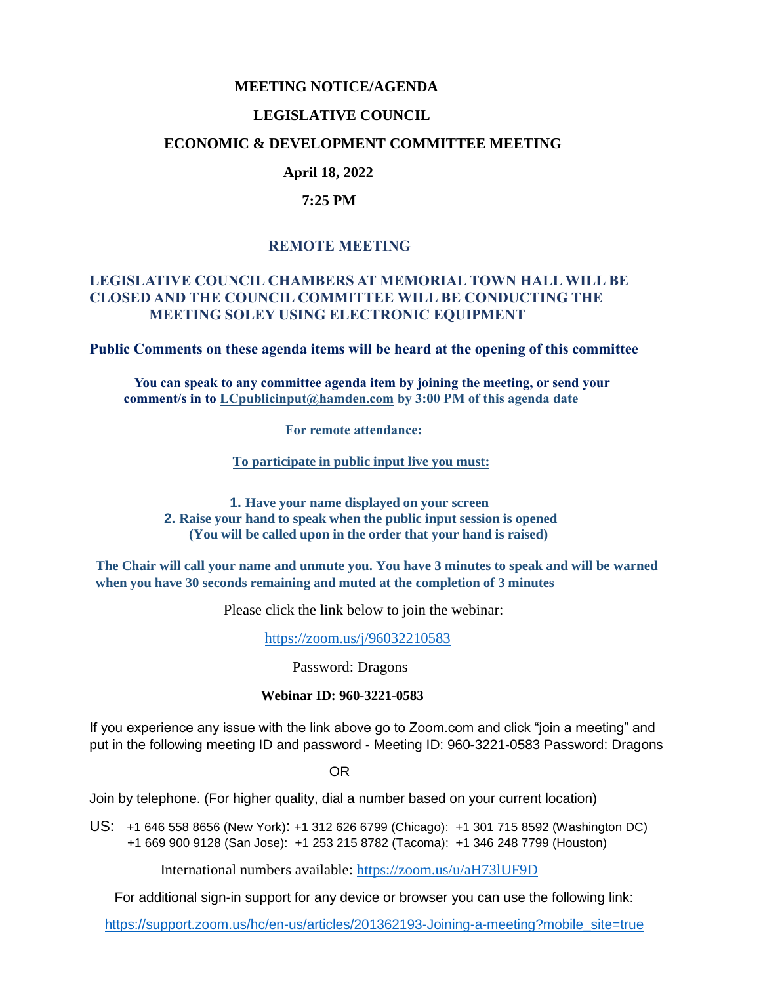## **MEETING NOTICE/AGENDA**

## **LEGISLATIVE COUNCIL**

### **ECONOMIC & DEVELOPMENT COMMITTEE MEETING**

# **April 18, 2022**

## **7:25 PM**

# **REMOTE MEETING**

## **LEGISLATIVE COUNCIL CHAMBERS AT MEMORIAL TOWN HALL WILL BE CLOSED AND THE COUNCIL COMMITTEE WILL BE CONDUCTING THE MEETING SOLEY USING ELECTRONIC EQUIPMENT**

**Public Comments on these agenda items will be heard at the opening of this committee** 

 **You can speak to any committee agenda item by joining the meeting, or send your comment/s in to [LCpublicinput@hamden.com](mailto:LCpublicinput@hamden.com) by 3:00 PM of this agenda date**

 **For remote attendance:**

**To participate in public input live you must:**

**1. Have your name displayed on your screen 2. Raise your hand to speak when the public input session is opened (You will be called upon in the order that your hand is raised)**

**The Chair will call your name and unmute you. You have 3 minutes to speak and will be warned when you have 30 seconds remaining and muted at the completion of 3 minutes**

Please click the link below to join the webinar:

<https://zoom.us/j/96032210583>

Password: Dragons

#### **Webinar ID: 960-3221-0583**

If you experience any issue with the link above go to Zoom.com and click "join a meeting" and put in the following meeting ID and password - Meeting ID: 960-3221-0583 Password: Dragons

OR

Join by telephone. (For higher quality, dial a number based on your current location)

US: [+1 646 558 8656 \(New York\)](tel:+16465588656): [+1 312 626 6799 \(Chicago\):](tel:+13126266799) [+1 301 715 8592 \(Washington DC\)](tel:+13017158592) +1 669 900 9128 (San Jose): [+1 253 215 8782 \(Tacoma\):](tel:+12532158782) [+1 346 248 7799 \(Houston\)](tel:+13462487799)

International numbers available:<https://zoom.us/u/aH73lUF9D>

For additional sign-in support for any device or browser you can use the following link:

[https://support.zoom.us/hc/en-us/articles/201362193-Joining-a-meeting?mobile\\_site=true](https://support.zoom.us/hc/en-us/articles/201362193-Joining-a-meeting?mobile_site=true)